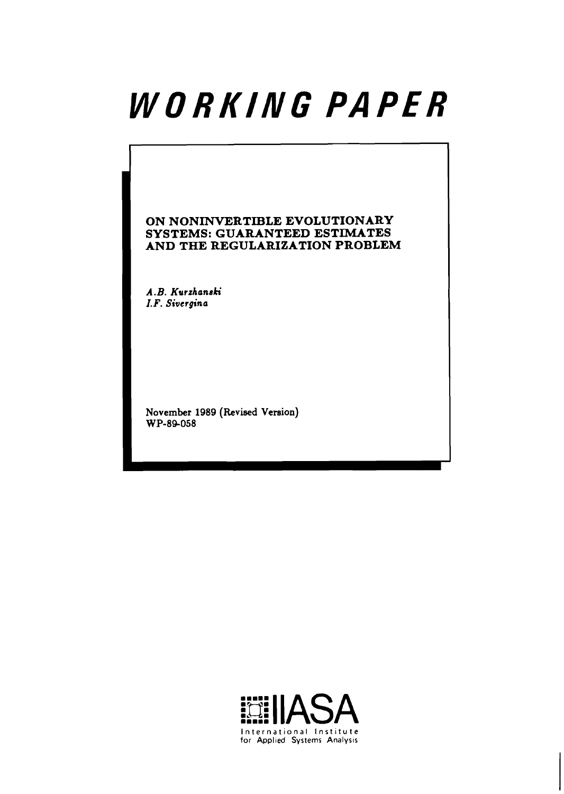# WORKING PAPER

**ON NONINVERTIBLE EVOLUTIONARY SYSTEMS: GUARANTEED ESTIMATES AND THE REGULARIZATION PROBLEM** 

**A .B. Kurzhanaki I. F. Sivcrgina** 

**November 1989 (Revised Version) WP-84058** 



|<br>|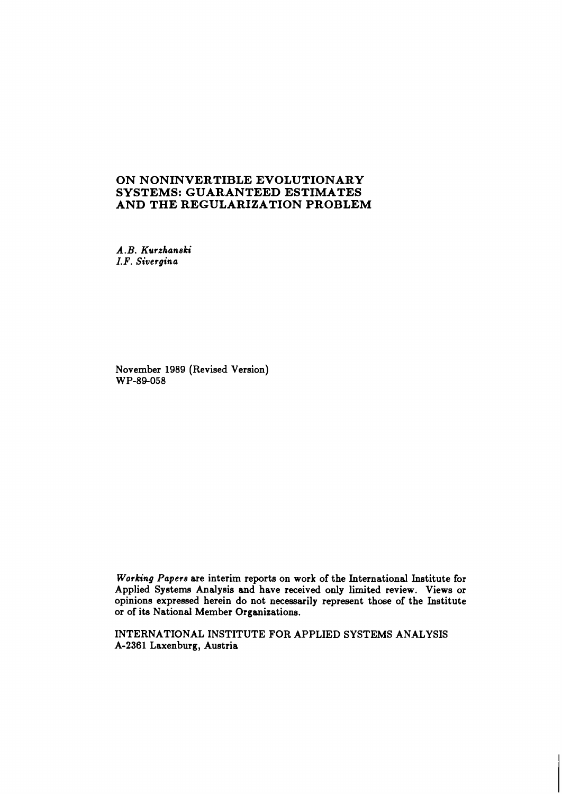# **ON NONINVERTIBLE EVOLUTIONARY SYSTEMS: GUARANTEED ESTIMATES AND THE REGULARIZATION PROBLEM**

*A. B. Kurzhanski I. F. Sivergina* 

November 1989 (Revised Version) WP-89-058

*Working Papers* are interim reports on work of the International Institute for Applied Systems Analysis and have received only limited review. Views or opinions expressed herein do not necessarily represent those of the Institute or of its National Member Organizations.

INTERNATIONAL INSTITUTE FOR APPLIED SYSTEMS ANALYSIS A-2361 Laxenburg, Austria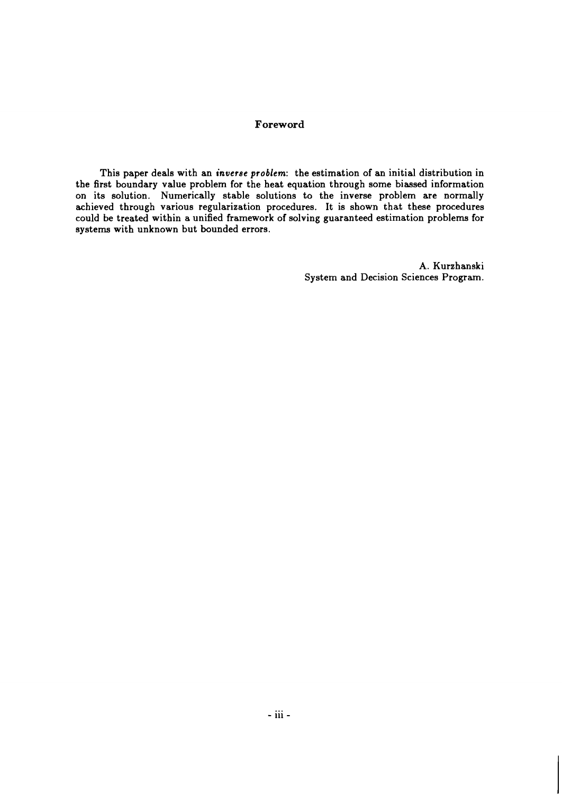# **Foreword**

This paper deals with an *inverse problem:* the estimation of an initial distribution in the first boundary value problem for the heat equation through some biassed information on its solution. Numerically stable solutions to the inverse problem are normally achieved through various regularization procedures. It is shown that these procedures could be treated within a unified framework of solving guaranteed estimation problems for systems with unknown but bounded errors.

> A. Kurzhanski System and Decision Sciences Program.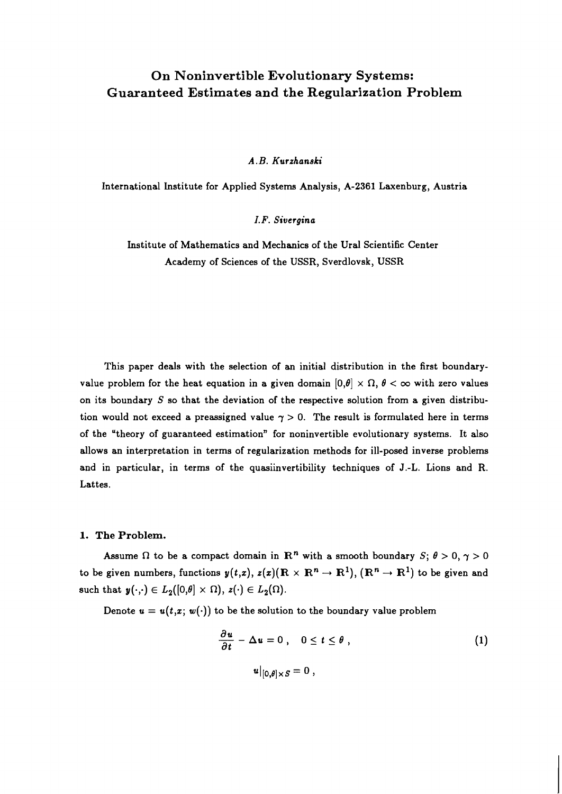# **On Noninvertible Evolutionary Systems: Guaranteed Estimates and the Regularization Problem**

A. B. Kurzhaneki

International Lnstitute for Applied Systems Analysis, A-2361 Laxenburg, Austria

I. F. Sivergina

Institute of Mathematics and Mechanics of the Ural Scientific Center Academy of Sciences of the USSR, Sverdlovsk, USSR

This paper deals with the selection of an initial distribution in the first boundaryvalue problem for the heat equation in a given domain  $[0,\theta] \times \Omega$ ,  $\theta < \infty$  with zero values on its boundary  $S$  so that the deviation of the respective solution from a given distribution would not exceed a preassigned value  $\gamma > 0$ . The result is formulated here in terms of the "theory of guaranteed estimation" for noninvertible evolutionary systems. It also allows an interpretation in terms of regularization methods for ill-posed inverse problems and in particular, in terms of the quasiinvertibility techniques of J.-L. Lions and R. Lattes.

#### **1. The Problem.**

Assume  $\Omega$  to be a compact domain in  $\mathbb{R}^n$  with a smooth boundary  $S; \theta > 0, \gamma > 0$ to be given numbers, functions  $y(t,x)$ ,  $z(x)$ ( $\mathbb{R} \times \mathbb{R}^n \to \mathbb{R}^1$ ), ( $\mathbb{R}^n \to \mathbb{R}^1$ ) to be given and such that  $y(\cdot,\cdot) \in L_2([0,\theta] \times \Omega), z(\cdot) \in L_2(\Omega)$ .

Denote  $u = u(t, x; w(\cdot))$  to be the solution to the boundary value problem

$$
\frac{\partial u}{\partial t} - \Delta u = 0, \quad 0 \le t \le \theta,
$$
  

$$
u|_{[0,\theta] \times S} = 0,
$$
 (1)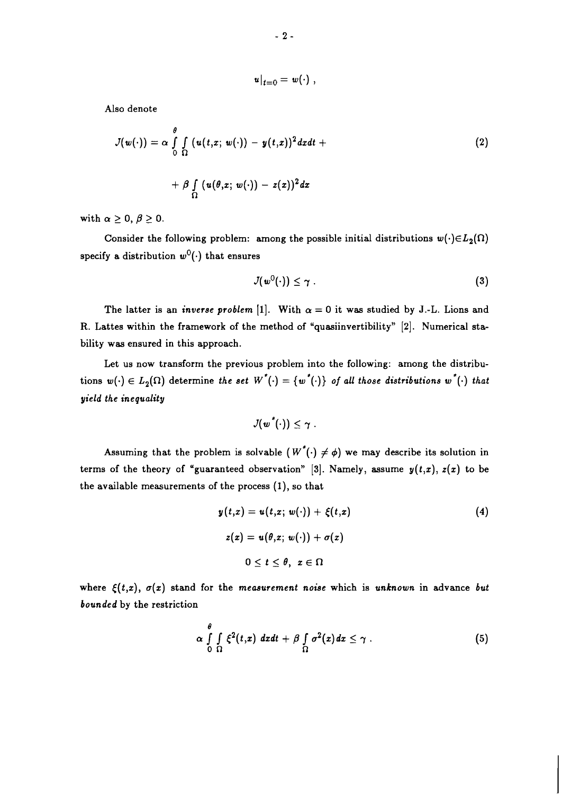$$
u|_{t=0}=w(\cdot)
$$

Also denote

$$
J(w(\cdot)) = \alpha \int\limits_{0}^{\theta} \int\limits_{\Omega} (u(t,x; w(\cdot)) - y(t,x))^2 dxdt +
$$
  
+  $\beta \int\limits_{\Omega} (u(\theta,x; w(\cdot)) - z(x))^2 dx$  (2)

with  $\alpha \geq 0, \beta \geq 0$ .

Consider the following problem: among the possible initial distributions  $w(\cdot) \in L_2(\Omega)$ specify a distribution  $w^0(\cdot)$  that ensures

$$
J(w^0(\cdot)) \leq \gamma \ . \tag{3}
$$

The latter is an *inverse problem* [1]. With  $\alpha = 0$  it was studied by J.-L. Lions and R. Lattes within the framework of the method of "quasiinvertibility" [2]. Numerical stability was ensured in this approach.

Let us now transform the previous problem into the following: among the distributions  $w(\cdot) \in L_2(\Omega)$  determine the set  $W^*(\cdot) = \{w^*(\cdot)\}\$  of all those distributions  $w^*(\cdot)$  that *yield the inequality* 

$$
J(\pmb{w}^{\texttt{*}}(\cdot)) \leq \pmb{\gamma} \ .
$$

Assuming that the problem is solvable  $(W^*(.) \neq \phi)$  we may describe its solution in terms of the theory of "guaranteed observation" [3]. Namely, assume  $y(t,x)$ ,  $z(x)$  to be the available measurements of the process (I), so that

$$
y(t,x) = u(t,x; w(\cdot)) + \xi(t,x)
$$
  
\n
$$
z(x) = u(\theta,x; w(\cdot)) + \sigma(x)
$$
  
\n
$$
0 \le t \le \theta, \ x \in \Omega
$$
 (4)

where  $\xi(t,x)$ ,  $\sigma(x)$  stand for the *measurement noise* which is *unknown* in advance *but bounded* by the restriction

$$
\alpha \int\limits_{0}^{\theta} \int\limits_{\Omega} \xi^2(t,x) \, dxdt + \beta \int\limits_{\Omega} \sigma^2(x) dx \leq \gamma . \tag{5}
$$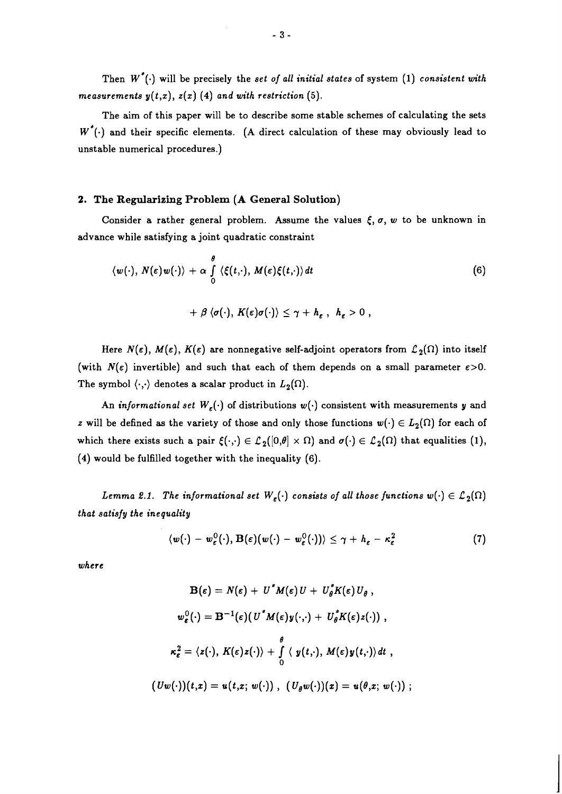Then  $W^*(\cdot)$  will be precisely the set of all initial states of system (1) consistent with measurements  $y(t,x)$ ,  $z(x)$  (4) and with restriction (5).

The aim of this paper will be to describe some stable schemes of calculating the sets  $W^{\dagger}(\cdot)$  and their specific elements. (A direct calculation of these may obviously lead to unstable numerical procedures.)

### 2. The Regularizing Problem (A General Solution)

Consider a rather general problem. Assume the values  $\xi$ ,  $\sigma$ ,  $w$  to be unknown in advance while satisfying a joint quadratic constraint

$$
\langle w(\cdot), N(\varepsilon)w(\cdot) \rangle + \alpha \int_{0}^{\theta} \langle \xi(t, \cdot), M(\varepsilon) \xi(t, \cdot) \rangle dt
$$
  
+  $\beta \langle \sigma(\cdot), K(\varepsilon) \sigma(\cdot) \rangle \leq \gamma + h_{\varepsilon}, h_{\varepsilon} > 0,$  (6)

Here  $N(\varepsilon)$ ,  $M(\varepsilon)$ ,  $K(\varepsilon)$  are nonnegative self-adjoint operators from  $\mathcal{L}_2(\Omega)$  into itself (with  $N(\varepsilon)$  invertible) and such that each of them depends on a small parameter  $\varepsilon > 0$ . The symbol  $\langle \cdot, \cdot \rangle$  denotes a scalar product in  $L_2(\Omega)$ .

An informational set  $W_{\varepsilon}(\cdot)$  of distributions  $w(\cdot)$  consistent with measurements y and z will be defined as the variety of those and only those functions  $w(\cdot) \in L_2(\Omega)$  for each of which there exists such a pair  $\xi(\cdot,\cdot) \in \mathcal{L}_2([0,\theta] \times \Omega)$  and  $\sigma(\cdot) \in \mathcal{L}_2(\Omega)$  that equalities (1), (4) would be fulfilled together with the inequality (6).

Lemma 2.1. The informational set  $W_{\varepsilon}(\cdot)$  consists of all those functions  $w(\cdot) \in \mathcal{L}_2(\Omega)$ that satisfy the inequality

$$
\langle w(\cdot) - w_{\varepsilon}^0(\cdot), \mathbf{B}(\varepsilon)(w(\cdot) - w_{\varepsilon}^0(\cdot)) \rangle \leq \gamma + h_{\varepsilon} - \kappa_{\varepsilon}^2 \tag{7}
$$

where

$$
\mathbf{B}(\varepsilon) = N(\varepsilon) + U^* M(\varepsilon) U + U_{\theta}^* K(\varepsilon) U_{\theta},
$$
  

$$
w_{\varepsilon}^0(\cdot) = \mathbf{B}^{-1}(\varepsilon) (U^* M(\varepsilon) y(\cdot, \cdot) + U_{\theta}^* K(\varepsilon) z(\cdot)),
$$
  

$$
\kappa_{\varepsilon}^2 = \langle z(\cdot), K(\varepsilon) z(\cdot) \rangle + \int_{0}^{\theta} \langle y(t, \cdot), M(\varepsilon) y(t, \cdot) \rangle dt,
$$
  

$$
(Uw(\cdot))(t, x) = u(t, x; w(\cdot)), (U_{\theta} w(\cdot))(x) = u(\theta, x; w(\cdot));
$$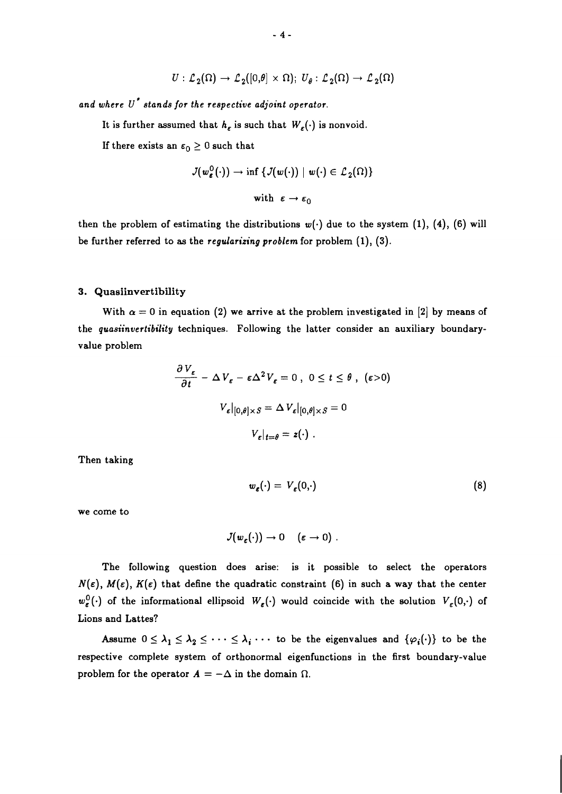$$
U: \mathcal{L}_2(\Omega) \to \mathcal{L}_2([0,\theta] \times \Omega); U_{\theta}: \mathcal{L}_2(\Omega) \to \mathcal{L}_2(\Omega)
$$

*and where* **U\*** *stands for the respective adjoint operator.* 

It is further assumed that  $h_{\varepsilon}$  is such that  $W_{\varepsilon}(\cdot)$  is nonvoid.

If there exists an  $\epsilon_0 \geq 0$  such that

$$
J(w_{\varepsilon}^{0}(\cdot)) \rightarrow \inf \{ J(w(\cdot)) \mid w(\cdot) \in \mathcal{L}_{2}(\Omega) \}
$$

with  $\varepsilon \to \varepsilon_0$ 

then the problem of estimating the distributions  $w(\cdot)$  due to the system (1), (4), (6) will be further referred to as the *regularizing problem* for problem *(I),* (3).

#### 3. Quasiinvertibility

With  $\alpha = 0$  in equation (2) we arrive at the problem investigated in [2] by means of the *quasiinvertibility* techniques. Following the latter consider an auxiliary boundaryvalue problem

$$
\frac{\partial V_{\varepsilon}}{\partial t} - \Delta V_{\varepsilon} - \varepsilon \Delta^2 V_{\varepsilon} = 0, \ 0 \le t \le \theta, \ (\varepsilon > 0)
$$

$$
V_{\varepsilon}|_{[0,\theta] \times S} = \Delta V_{\varepsilon}|_{[0,\theta] \times S} = 0
$$

$$
V_{\varepsilon}|_{t=\theta} = z(\cdot) \ .
$$

Then taking

$$
w_{\varepsilon}(\cdot) = V_{\varepsilon}(0,\cdot) \tag{8}
$$

we come to

$$
J(w_{\varepsilon}(\cdot))\to 0\quad (\varepsilon\to 0) \;.
$$

The following question does arise: is it possible to select the operators  $N(\varepsilon)$ ,  $M(\varepsilon)$ ,  $K(\varepsilon)$  that define the quadratic constraint (6) in such a way that the center  $w_{\varepsilon}^{0}(\cdot)$  of the informational ellipsoid  $W_{\varepsilon}(\cdot)$  would coincide with the solution  $V_{\varepsilon}(0,\cdot)$  of Lions and Lattes?

Assume  $0 \leq \lambda_1 \leq \lambda_2 \leq \cdots \leq \lambda_i$   $\cdots$  to be the eigenvalues and  $\{\varphi_i(\cdot)\}\)$  to be the respective complete system of orthonormal eigenfunctions in the first boundary-value problem for the operator  $A = -\Delta$  in the domain  $\Omega$ .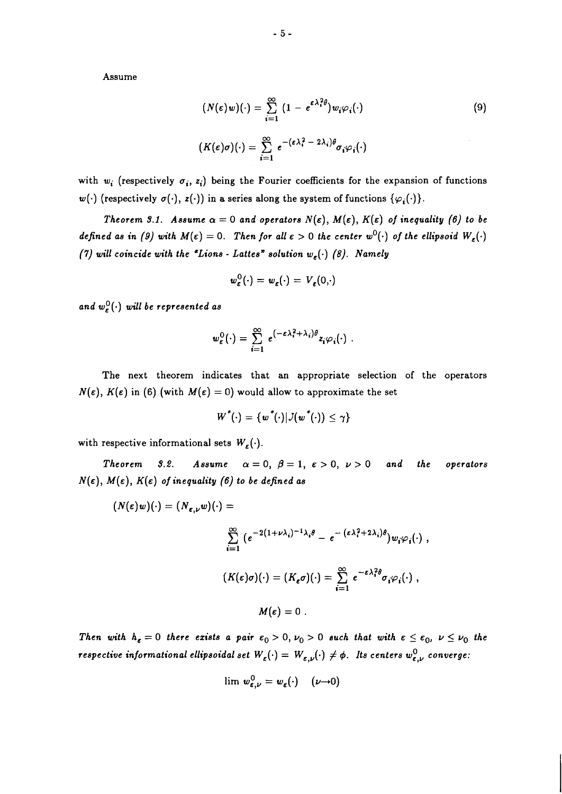Assume

$$
(N(\varepsilon)w)(\cdot) = \sum_{i=1}^{\infty} (1 - e^{\varepsilon \lambda_i^2 \theta}) w_i \varphi_i(\cdot)
$$
\n
$$
(K(\varepsilon)\sigma)(\cdot) = \sum_{i=1}^{\infty} e^{-(\varepsilon \lambda_i^2 - 2\lambda_i)\theta} \sigma_i \varphi_i(\cdot)
$$
\n(9)

with  $w_i$  (respectively  $\sigma_i$ ,  $z_i$ ) being the Fourier coefficients for the expansion of functions  $w(\cdot)$  (respectively  $\sigma(\cdot)$ ,  $z(\cdot)$ ) in a series along the system of functions  $\{\varphi_i(\cdot)\}.$ 

*Theorem 3.1. Assume*  $\alpha = 0$  *and operators*  $N(\varepsilon)$ ,  $M(\varepsilon)$ ,  $K(\varepsilon)$  *of inequality (6) to be defined as in (9) with*  $M(\epsilon) = 0$ . *Then for all*  $\epsilon > 0$  *the center w*<sup>0</sup>( $\cdot$ ) *of the ellipsoid*  $W_{\epsilon}(\cdot)$ *(7) will coincide with the "Lions - Lattes" solution*  $w_{\epsilon}(\cdot)$  *(8). Namely* 

$$
w_{\varepsilon}^{0}(\cdot)=w_{\varepsilon}(\cdot)=V_{\varepsilon}(0,\cdot)
$$

and  $w_{\varepsilon}^{0}(\cdot)$  will be represented as

$$
w_{\varepsilon}^{0}(\cdot) = \sum_{i=1}^{\infty} e^{(-\varepsilon \lambda_{i}^{2} + \lambda_{i})\theta} z_{i} \varphi_{i}(\cdot) .
$$

The next theorem indicates that an appropriate selection of the operators  $N(\varepsilon)$ ,  $K(\varepsilon)$  in (6) (with  $M(\varepsilon) = 0$ ) would allow to approximate the set

$$
W^*(\cdot) = \{w^*(\cdot)|\mathcal{J}(w^*(\cdot)) \leq \gamma\}
$$

with respective informational sets  $W_{\varepsilon}(\cdot)$ .

*Theorem 3.2. Assume*  $\alpha = 0$ ,  $\beta = 1$ ,  $\epsilon > 0$ ,  $\nu > 0$  and the operators  $N(\varepsilon)$ ,  $M(\varepsilon)$ ,  $K(\varepsilon)$  of inequality (6) to be defined as

$$
(N(\varepsilon)w)(\cdot) = (N_{\varepsilon,\nu}w)(\cdot) =
$$
  

$$
\sum_{i=1}^{\infty} (e^{-2(1+\nu\lambda_i)^{-1}\lambda_i\theta} - e^{-(\varepsilon\lambda_i^2 + 2\lambda_i)\theta})w_i\varphi_i(\cdot) ,
$$
  

$$
(K(\varepsilon)\sigma)(\cdot) = (K_{\varepsilon}\sigma)(\cdot) = \sum_{i=1}^{\infty} e^{-\varepsilon\lambda_i^2\theta} \sigma_i\varphi_i(\cdot) ,
$$
  

$$
M(\varepsilon) = 0 .
$$

*Then with*  $h_{\varepsilon} = 0$  *there exists a pair*  $\varepsilon_0 > 0$ ,  $\nu_0 > 0$  *such that with*  $\varepsilon \leq \varepsilon_0$ ,  $\nu \leq \nu_0$  *the respective informational ellipsoidal set*  $W_{\varepsilon}(\cdot) = W_{\varepsilon,\nu}(\cdot) \neq \phi$ . Its centers  $w_{\varepsilon,\nu}^0$  converge:

$$
\lim \, w_{\varepsilon,\nu}^0 = w_{\varepsilon}(\cdot) \quad (\nu \to 0)
$$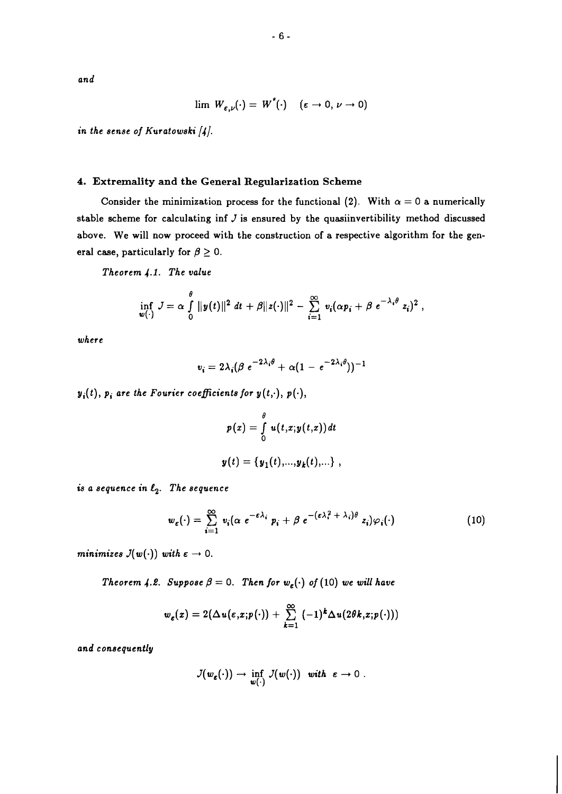*and* 

$$
\lim W_{\varepsilon,\nu}(\cdot) = W^*(\cdot) \quad (\varepsilon \to 0, \nu \to 0)
$$

*in the sense of Kuratowski [dl.* 

# **4. Extremality and the General Regularization Scheme**

Consider the minimization process for the functional (2). With  $\alpha = 0$  a numerically **stable scheme for calculating inf** *J* **is ensured by the quasiinvertibility method discussed above. We will now proceed with the construction of a respective algorithm for the gen**eral case, particularly for  $\beta \geq 0$ .

*Theorem* **4.1.** *The value* 

$$
\inf_{w(\cdot)} J = \alpha \int_{0}^{\theta} ||y(t)||^2 dt + \beta ||z(\cdot)||^2 - \sum_{i=1}^{\infty} v_i (\alpha p_i + \beta e^{-\lambda_i \theta} z_i)^2,
$$

*where* 

$$
v_i = 2\lambda_i(\beta e^{-2\lambda_i\theta} + \alpha(1 - e^{-2\lambda_i\theta}))^{-1}
$$

 $y_i(t)$ ,  $p_i$  are the Fourier coefficients for  $y(t, \cdot)$ ,  $p(\cdot)$ ,

$$
p(x) = \int_{0}^{\theta} u(t,x;y(t,x)) dt
$$

$$
y(t) = \{y_1(t),...,y_k(t),...\},
$$

*is a sequence in*  $\ell_2$ *. The sequence* 

$$
w_{\varepsilon}(\cdot) = \sum_{i=1}^{\infty} v_i (\alpha e^{-\varepsilon \lambda_i} p_i + \beta e^{-(\varepsilon \lambda_i^2 + \lambda_i)\theta} z_i) \varphi_i(\cdot) \tag{10}
$$

*minimizes*  $J(w(\cdot))$  *with*  $\epsilon \to 0$ .

*Theorem 4.2. Suppose*  $\beta = 0$ . *Then for*  $w_{\varepsilon}(\cdot)$  *of* (10) we will have

$$
w_{\varepsilon}(x) = 2(\Delta u(\varepsilon,x;p(\cdot)) + \sum_{k=1}^{\infty} (-1)^{k} \Delta u(2\theta k,x;p(\cdot)))
$$

*and consequently* 

$$
J(w_{\varepsilon}(\cdot)) \to \inf_{w(\cdot)} J(w(\cdot)) \quad with \quad \varepsilon \to 0.
$$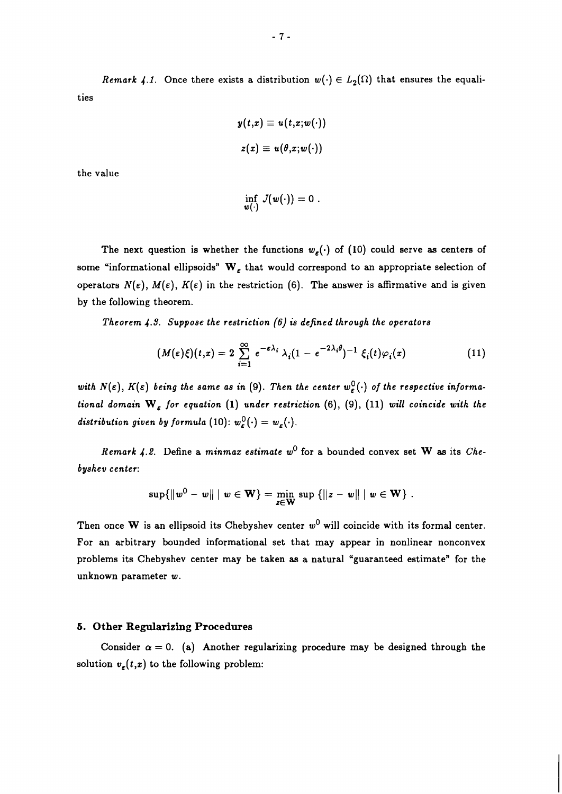*Remark 4.1.* Once there exists a distribution  $w(\cdot) \in L_2(\Omega)$  that ensures the equalities

$$
y(t,x) \equiv u(t,x;w(\cdot))
$$
  

$$
z(x) \equiv u(\theta,x;w(\cdot))
$$

the value

$$
\inf_{w(\cdot)} J(w(\cdot)) = 0.
$$

The next question is whether the functions  $w_{\varepsilon}(\cdot)$  of (10) could serve as centers of some "informational ellipsoids"  $\mathbf{W}_{\varepsilon}$  that would correspond to an appropriate selection of operators  $N(\varepsilon)$ ,  $M(\varepsilon)$ ,  $K(\varepsilon)$  in the restriction (6). The answer is affirmative and is given by the following theorem.

*Theorem 4.9. Suppose the restriction (6) is defined through the operators* 

$$
(M(\varepsilon)\xi)(t,x) = 2 \sum_{i=1}^{\infty} e^{-\varepsilon\lambda_i} \lambda_i (1 - e^{-2\lambda_i \theta})^{-1} \xi_i(t) \varphi_i(x)
$$
 (11)

with  $N(\varepsilon)$ ,  $K(\varepsilon)$  being the same as in (9). Then the center  $w_{\varepsilon}^{0}(\cdot)$  of the respective informa*tional domain*  $W_{\varepsilon}$  for equation (1) under restriction (6), (9), (11) will coincide with the *distribution given by formula* (10):  $w_{\varepsilon}^{0}(\cdot) = w_{\varepsilon}(\cdot)$ .

*Remark 4.2.* Define a *minmax estimate*  $w^0$  for a bounded convex set **W** as its *Chebyshev center:* 

$$
\sup\{\|w^0 - w\| \mid w \in \mathbf{W}\} = \min_{z \in \mathbf{W}} \sup\{\|z - w\| \mid w \in \mathbf{W}\}.
$$

Then once **W** is an ellipsoid its Chebyshev center  $w^0$  will coincide with its formal center. For an arbitrary bounded informational set that may appear in nonlinear nonconvex problems its Chebyshev center may be taken as a natural "guaranteed estimate" for the unknown parameter *w.* 

#### **5. Other Regularizing Procedures**

Consider  $\alpha = 0$ . (a) Another regularizing procedure may be designed through the solution  $v_{\varepsilon}(t,x)$  to the following problem: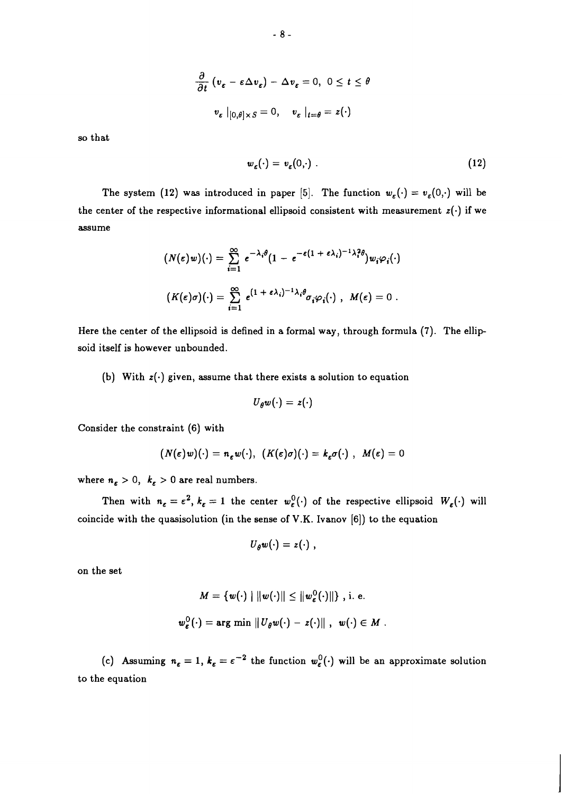$$
\frac{\partial}{\partial t} \left( v_{\varepsilon} - \varepsilon \Delta v_{\varepsilon} \right) - \Delta v_{\varepsilon} = 0, \ 0 \le t \le \theta
$$

$$
v_{\varepsilon} |_{[0,\theta] \times S} = 0, \quad v_{\varepsilon} |_{t=\theta} = z(\cdot)
$$

so that

$$
w_{\varepsilon}(\cdot) = v_{\varepsilon}(0,\cdot) \tag{12}
$$

The system (12) was introduced in paper [5]. The function  $w_{\varepsilon}(\cdot) = v_{\varepsilon}(0,\cdot)$  will be the center of the respective informational ellipsoid consistent with measurement  $z(\cdot)$  if we assume

$$
(N(\varepsilon)w)(\cdot) = \sum_{i=1}^{\infty} e^{-\lambda_i \theta} (1 - e^{-\varepsilon(1 + \varepsilon \lambda_i)^{-1} \lambda_i^2 \theta}) w_i \varphi_i(\cdot)
$$

$$
(K(\varepsilon)\sigma)(\cdot) = \sum_{i=1}^{\infty} e^{(1 + \varepsilon \lambda_i)^{-1} \lambda_i \theta} \sigma_i \varphi_i(\cdot) , M(\varepsilon) = 0 .
$$

Here the center of the ellipsoid is defined in a formal way, through formula (7). The ellipsoid itself is however unbounded.

(b) With  $z(\cdot)$  given, assume that there exists a solution to equation

$$
U_{\theta}w(\cdot)=z(\cdot)
$$

Consider the constraint **(6)** with

$$
(N(\varepsilon)w)(\cdot) = n_{\varepsilon}w(\cdot), \ \ (K(\varepsilon)\sigma)(\cdot) = k_{\varepsilon}\sigma(\cdot) \ , \ \ M(\varepsilon) = 0
$$

where  $n_{\varepsilon} > 0$ ,  $k_{\varepsilon} > 0$  are real numbers.

Then with  $n_{\varepsilon} = \varepsilon^2$ ,  $k_{\varepsilon} = 1$  the center  $w_{\varepsilon}^0(\cdot)$  of the respective ellipsoid  $W_{\varepsilon}(\cdot)$  will coincide with the quasisolution (in the sense of V.K. Ivanov **[6])** to the equation

$$
U_{\theta}w(\cdot)=z(\cdot)\;,
$$

on the set

$$
M = \{w(\cdot) \mid ||w(\cdot)|| \le ||w_{\varepsilon}^{0}(\cdot)||\}, \text{ i. e.}
$$
  

$$
w_{\varepsilon}^{0}(\cdot) = \arg \min ||U_{\theta}w(\cdot) - z(\cdot)||, \ \ w(\cdot) \in M.
$$

(c) Assuming  $n_{\varepsilon} = 1$ ,  $k_{\varepsilon} = \varepsilon^{-2}$  the function  $w_{\varepsilon}^{0}(\cdot)$  will be an approximate solution to the equation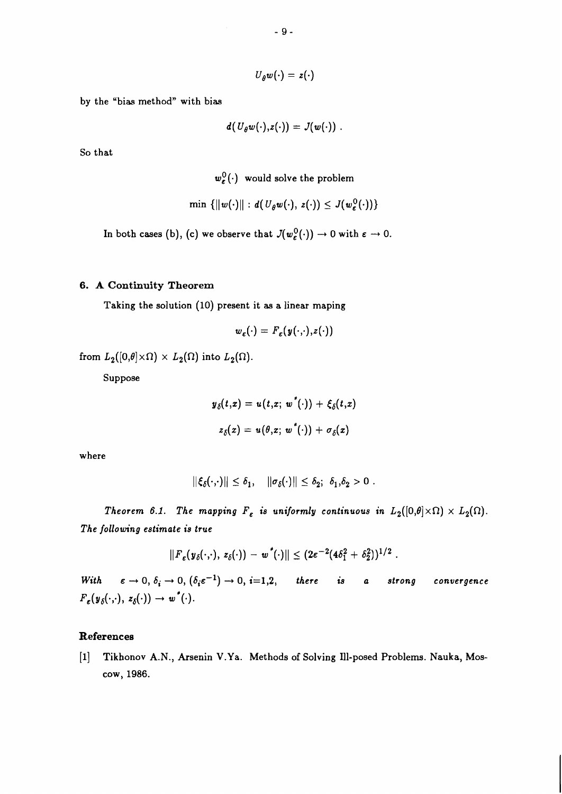$$
U_{\theta}w(\cdot)=z(\cdot)
$$

**by the "bias method" with bias** 

$$
d(U_{\theta}w(\cdot),z(\cdot))=J(w(\cdot))\;.
$$

**So that** 

 $w_{\varepsilon}^{0}(\cdot)$  would solve the problem

$$
\min \{||w(\cdot)|| : d(U_{\theta}w(\cdot), z(\cdot)) \leq J(w_{\varepsilon}^0(\cdot))\}
$$

In both cases (b), (c) we observe that  $J(w_{\varepsilon}^{0}(\cdot)) \to 0$  with  $\varepsilon \to 0$ .

# **6. A Continuity Theorem**

**Taking the solution** *(10)* **present it as a linear maping** 

$$
w_{\varepsilon}(\cdot) = F_{\varepsilon}(y(\cdot,\cdot),z(\cdot))
$$

from  $L_2([0,\theta]\times\Omega) \times L_2(\Omega)$  into  $L_2(\Omega)$ .

**Suppose** 

$$
y_{\delta}(t,x) = u(t,x; w^*(\cdot)) + \xi_{\delta}(t,x)
$$
  

$$
z_{\delta}(x) = u(\theta,x; w^*(\cdot)) + \sigma_{\delta}(x)
$$

**where** 

$$
\|\xi_\delta(\cdot,\cdot)\|\leq \delta_1,\quad \|\sigma_\delta(\cdot)\|\leq \delta_2;\ \delta_1,\delta_2>0
$$

*Theorem 6.1. The mapping*  $F_{\varepsilon}$  *is uniformly continuous in*  $L_2([0,\theta] \times \Omega) \times L_2(\Omega)$ *. The following estimate is true* 

$$
||F_{\varepsilon}(y_{\delta}(\cdot,\cdot), z_{\delta}(\cdot)) - w^{*}(\cdot)|| \leq (2\varepsilon^{-2}(4\delta_{1}^{2} + \delta_{2}^{2}))^{1/2}.
$$

*With*  $\varepsilon \to 0$ ,  $\delta_i \to 0$ ,  $(\delta_i \varepsilon^{-1}) \to 0$ ,  $i=1,2$ , there is a strong convergence  $F_{\varepsilon}(y_{\delta}(\cdot,\cdot), z_{\delta}(\cdot)) \rightarrow w^{*}(\cdot).$ 

# **References**

[I] **Tikhonov A.N., Arsenin V.Ya. Methods of Solving Ill-posed Problems. Nauka, Moscow,** *1986.*